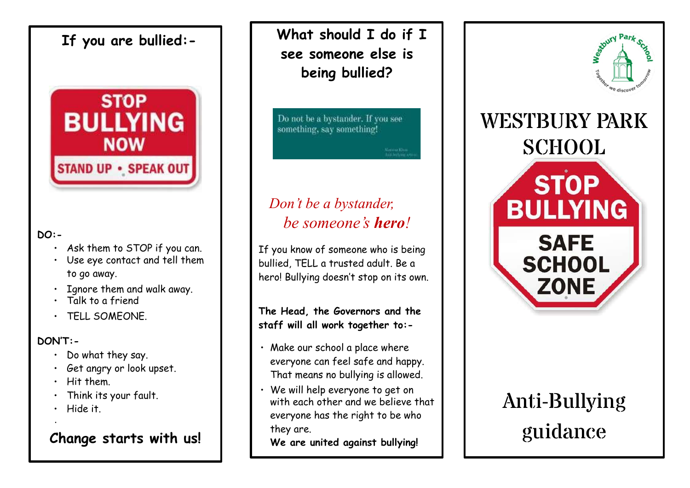## **If you are bullied:-**



#### **DO:-**

- ∙ Ask them to STOP if you can.
- ∙ Use eye contact and tell them to go away.
- ∙ Ignore them and walk away.
- ∙ Talk to a friend
- ∙ TELL SOMEONE.

#### **DON'T:-**

·

- ∙ Do what they say.
- ∙ Get angry or look upset.
- ∙ Hit them.
- ∙ Think its your fault.
- ∙ Hide it.

## **Change starts with us!**

**What should I do if I see someone else is being bullied?**

Do not be a bystander. If you see something, say something!

Nation King

# *Don't be a bystander, be someone's hero!*

If you know of someone who is being bullied, TELL a trusted adult. Be a hero! Bullying doesn't stop on its own.

**The Head, the Governors and the staff will all work together to:-**

- ∙ Make our school a place where everyone can feel safe and happy. That means no bullying is allowed.
- ∙ We will help everyone to get on with each other and we believe that everyone has the right to be who they are.

**We are united against bullying!**



# Anti-Bullying guidance